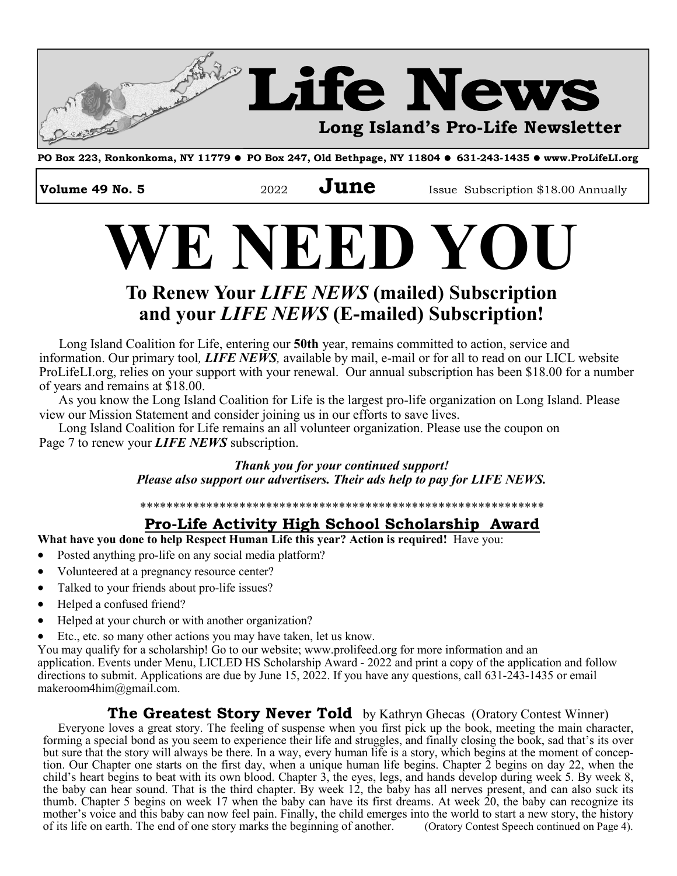

**PO Box 223, Ronkonkoma, NY 11779 PO Box 247, Old Bethpage, NY 11804 631-243-1435 www.ProLifeLI.org** 

**Volume 49 No. 5 2022 June Issue Subscription \$18.00 Annually** 

# **WE NEED YOU**

### **To Renew Your** *LIFE NEWS* **(mailed) Subscription and your** *LIFE NEWS* **(E-mailed) Subscription!**

Long Island Coalition for Life, entering our **50th** year, remains committed to action, service and information. Our primary tool*, LIFE NEWS,* available by mail, e-mail or for all to read on our LICL website ProLifeLI.org, relies on your support with your renewal. Our annual subscription has been \$18.00 for a number of years and remains at \$18.00.

 As you know the Long Island Coalition for Life is the largest pro-life organization on Long Island. Please view our Mission Statement and consider joining us in our efforts to save lives.

 Long Island Coalition for Life remains an all volunteer organization. Please use the coupon on Page 7 to renew your *LIFE NEWS* subscription.

> *Thank you for your continued support! Please also support our advertisers. Their ads help to pay for LIFE NEWS.*

> \*\*\*\*\*\*\*\*\*\*\*\*\*\*\*\*\*\*\*\*\*\*\*\*\*\*\*\*\*\*\*\*\*\*\*\*\*\*\*\*\*\*\*\*\*\*\*\*\*\*\*\*\*\*\*\*\*\*\*\*\*

### **Pro-Life Activity High School Scholarship Award**

**What have you done to help Respect Human Life this year? Action is required!** Have you:

- Posted anything pro-life on any social media platform?
- Volunteered at a pregnancy resource center?
- Talked to your friends about pro-life issues?
- Helped a confused friend?
- Helped at your church or with another organization?
- Etc., etc. so many other actions you may have taken, let us know.

You may qualify for a scholarship! Go to our website; www.prolifeed.org for more information and an application. Events under Menu, LICLED HS Scholarship Award - 2022 and print a copy of the application and follow directions to submit. Applications are due by June 15, 2022. If you have any questions, call 631-243-1435 or email makeroom4him@gmail.com.

#### **The Greatest Story Never Told** by Kathryn Ghecas (Oratory Contest Winner)

Everyone loves a great story. The feeling of suspense when you first pick up the book, meeting the main character, forming a special bond as you seem to experience their life and struggles, and finally closing the book, sad that's its over but sure that the story will always be there. In a way, every human life is a story, which begins at the moment of conception. Our Chapter one starts on the first day, when a unique human life begins. Chapter 2 begins on day 22, when the child's heart begins to beat with its own blood. Chapter 3, the eyes, legs, and hands develop during week 5. By week 8, the baby can hear sound. That is the third chapter. By week 12, the baby has all nerves present, and can also suck its thumb. Chapter 5 begins on week 17 when the baby can have its first dreams. At week  $20$ , the baby can recognize its mother's voice and this baby can now feel pain. Finally, the child emerges into the world to start a new story, the history of its life on earth. The end of one story marks the beginning of another. (Oratory Contest Speech of its life on earth. The end of one story marks the beginning of another.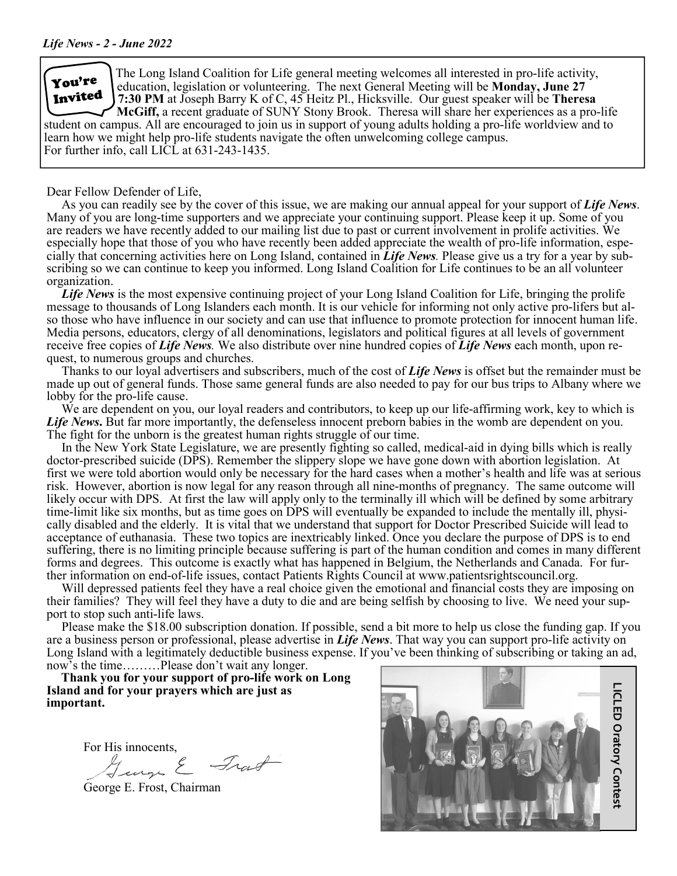

The Long Island Coalition for Life general meeting welcomes all interested in pro-life activity, education, legislation or volunteering. The next General Meeting will be **Monday, June 27 7:30 PM** at Joseph Barry K of C, 45 Heitz Pl., Hicksville. Our guest speaker will be **Theresa McGiff,** a recent graduate of SUNY Stony Brook. Theresa will share her experiences as a pro-life

student on campus. All are encouraged to join us in support of young adults holding a pro-life worldview and to learn how we might help pro-life students navigate the often unwelcoming college campus. For further info, call LICL at 631-243-1435.

Dear Fellow Defender of Life,

As you can readily see by the cover of this issue, we are making our annual appeal for your support of *Life News*. Many of you are long-time supporters and we appreciate your continuing support. Please keep it up. Some of you are readers we have recently added to our mailing list due to past or current involvement in prolife activities. We especially hope that those of you who have recently been added appreciate the wealth of pro-life information, especially that concerning activities here on Long Island, contained in *Life News.* Please give us a try for a year by subscribing so we can continue to keep you informed. Long Island Coalition for Life continues to be an all volunteer organization.

*Life News* is the most expensive continuing project of your Long Island Coalition for Life, bringing the prolife message to thousands of Long Islanders each month. It is our vehicle for informing not only active pro-lifers but also those who have influence in our society and can use that influence to promote protection for innocent human life. Media persons, educators, clergy of all denominations, legislators and political figures at all levels of government receive free copies of *Life News.* We also distribute over nine hundred copies of *Life News* each month, upon request, to numerous groups and churches.

Thanks to our loyal advertisers and subscribers, much of the cost of *Life News* is offset but the remainder must be made up out of general funds. Those same general funds are also needed to pay for our bus trips to Albany where we lobby for the pro-life cause.

We are dependent on you, our loyal readers and contributors, to keep up our life-affirming work, key to which is *Life News***.** But far more importantly, the defenseless innocent preborn babies in the womb are dependent on you. The fight for the unborn is the greatest human rights struggle of our time.

In the New York State Legislature, we are presently fighting so called, medical-aid in dying bills which is really doctor-prescribed suicide (DPS). Remember the slippery slope we have gone down with abortion legislation. At first we were told abortion would only be necessary for the hard cases when a mother's health and life was at serious risk. However, abortion is now legal for any reason through all nine-months of pregnancy. The same outcome will likely occur with DPS. At first the law will apply only to the terminally ill which will be defined by some arbitrary time-limit like six months, but as time goes on DPS will eventually be expanded to include the mentally ill, physically disabled and the elderly. It is vital that we understand that support for Doctor Prescribed Suicide will lead to acceptance of euthanasia. These two topics are inextricably linked. Once you declare the purpose of DPS is to end suffering, there is no limiting principle because suffering is part of the human condition and comes in many different forms and degrees. This outcome is exactly what has happened in Belgium, the Netherlands and Canada. For further information on end-of-life issues, contact Patients Rights Council at www.patientsrightscouncil.org.

Will depressed patients feel they have a real choice given the emotional and financial costs they are imposing on their families? They will feel they have a duty to die and are being selfish by choosing to live. We need your support to stop such anti-life laws.

Please make the \$18.00 subscription donation. If possible, send a bit more to help us close the funding gap. If you are a business person or professional, please advertise in *Life News*. That way you can support pro-life activity on Long Island with a legitimately deductible business expense. If you've been thinking of subscribing or taking an ad, now's the time………Please don't wait any longer.

 **Thank you for your support of pro-life work on Long Island and for your prayers which are just as important.**

For His innocents,

Trat J

George E. Frost, Chairman

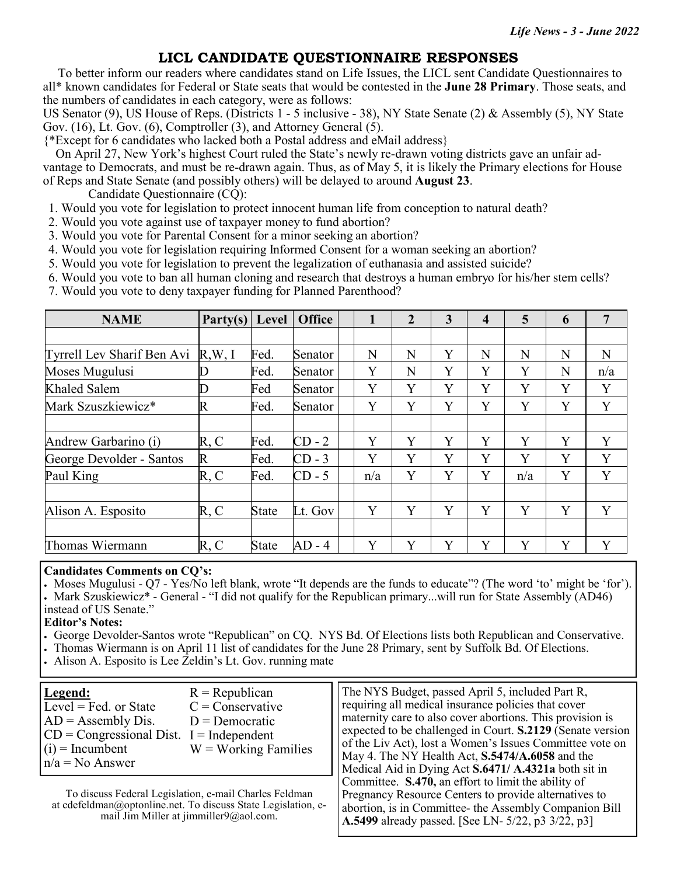#### **LICL CANDIDATE QUESTIONNAIRE RESPONSES**

 To better inform our readers where candidates stand on Life Issues, the LICL sent Candidate Questionnaires to all\* known candidates for Federal or State seats that would be contested in the **June 28 Primary**. Those seats, and the numbers of candidates in each category, were as follows:

US Senator (9), US House of Reps. (Districts 1 - 5 inclusive - 38), NY State Senate (2) & Assembly (5), NY State Gov. (16), Lt. Gov. (6), Comptroller (3), and Attorney General (5).

{\*Except for 6 candidates who lacked both a Postal address and eMail address}

 On April 27, New York's highest Court ruled the State's newly re-drawn voting districts gave an unfair advantage to Democrats, and must be re-drawn again. Thus, as of May 5, it is likely the Primary elections for House of Reps and State Senate (and possibly others) will be delayed to around **August 23**.

Candidate Questionnaire (CQ):

- 1. Would you vote for legislation to protect innocent human life from conception to natural death?
- 2. Would you vote against use of taxpayer money to fund abortion?
- 3. Would you vote for Parental Consent for a minor seeking an abortion?
- 4. Would you vote for legislation requiring Informed Consent for a woman seeking an abortion?
- 5. Would you vote for legislation to prevent the legalization of euthanasia and assisted suicide?
- 6. Would you vote to ban all human cloning and research that destroys a human embryo for his/her stem cells?
- 7. Would you vote to deny taxpayer funding for Planned Parenthood?

| <b>NAME</b>                | Party(s) | Level        | <b>Office</b> | 1   | $\overline{2}$ | 3 | $\overline{\mathbf{4}}$ | 5   | 6 | $\overline{7}$ |
|----------------------------|----------|--------------|---------------|-----|----------------|---|-------------------------|-----|---|----------------|
|                            |          |              |               |     |                |   |                         |     |   |                |
| Tyrrell Lev Sharif Ben Avi | R,W, I   | Fed.         | Senator       | N   | N              | Y | N                       | N   | N | N              |
| Moses Mugulusi             |          | Fed.         | Senator       | Y   | N              | Y | Y                       | Y   | N | n/a            |
| Khaled Salem               | D        | Fed          | Senator       | Y   | Y              | Y | Y                       | Y   | Y | Y              |
| Mark Szuszkiewicz*         | R        | Fed.         | Senator       | Y   | Y              | Y | Y                       | Y   | Y | Y              |
|                            |          |              |               |     |                |   |                         |     |   |                |
| Andrew Garbarino (i)       | R, C     | Fed.         | $CD - 2$      | Y   | Y              | Y | Y                       | Y   | Y | Y              |
| George Devolder - Santos   | R        | Fed.         | $CD - 3$      | Y   | Y              | Y | Y                       | Y   | Y | Y              |
| Paul King                  | R, C     | Fed.         | $CD - 5$      | n/a | Y              | Y | Y                       | n/a | Y | Y              |
|                            |          |              |               |     |                |   |                         |     |   |                |
| Alison A. Esposito         | R, C     | <b>State</b> | Lt. Gov       | Y   | Y              | Y | Y                       | Y   | Y | Y              |
|                            |          |              |               |     |                |   |                         |     |   |                |
| Thomas Wiermann            | R, C     | <b>State</b> | $AD - 4$      | Y   | Y              | Y | Y                       | Y   | Y | Y              |

#### **Candidates Comments on CQ's:**

Moses Mugulusi - Q7 - Yes/No left blank, wrote "It depends are the funds to educate"? (The word 'to' might be 'for'). Mark Szuskiewicz\* - General - "I did not qualify for the Republican primary...will run for State Assembly (AD46) instead of US Senate."

#### **Editor's Notes:**

George Devolder-Santos wrote "Republican" on CQ. NYS Bd. Of Elections lists both Republican and Conservative.

- Thomas Wiermann is on April 11 list of candidates for the June 28 Primary, sent by Suffolk Bd. Of Elections.
- Alison A. Esposito is Lee Zeldin's Lt. Gov. running mate

| Legend:<br>Level = Fed. or State<br>$AD =$ Assembly Dis.<br>$CD = Congressional Dist.$ I = Independent<br>$(i)$ = Incumbent<br>$n/a = No$ Answer | $R = Republican$<br>$C =$ Conservative<br>$D =$ Democratic<br>$W = Working$ Families                                    | The NYS Budget, passed April 5, included Part R,<br>requiring all medical insurance policies that cover<br>maternity care to also cover abortions. This provision is<br>expected to be challenged in Court. S.2129 (Senate version<br>of the Liv Act), lost a Women's Issues Committee vote on<br>May 4. The NY Health Act, S.5474/A.6058 and the<br>Medical Aid in Dying Act S.6471/ A.4321a both sit in |
|--------------------------------------------------------------------------------------------------------------------------------------------------|-------------------------------------------------------------------------------------------------------------------------|-----------------------------------------------------------------------------------------------------------------------------------------------------------------------------------------------------------------------------------------------------------------------------------------------------------------------------------------------------------------------------------------------------------|
|                                                                                                                                                  | To discuss Federal Legislation, e-mail Charles Feldman<br>at cdefeldman@optonline.net. To discuss State Legislation, e- | Committee. S.470, an effort to limit the ability of<br>Pregnancy Resource Centers to provide alternatives to<br>abortion, is in Committee- the Assembly Companion Bill                                                                                                                                                                                                                                    |

**A.5499** already passed. [See LN- 5/22, p3 3/22, p3]

at cdefeldman@optonline.net. To discuss State Legislation, email Jim Miller at jimmiller9@aol.com.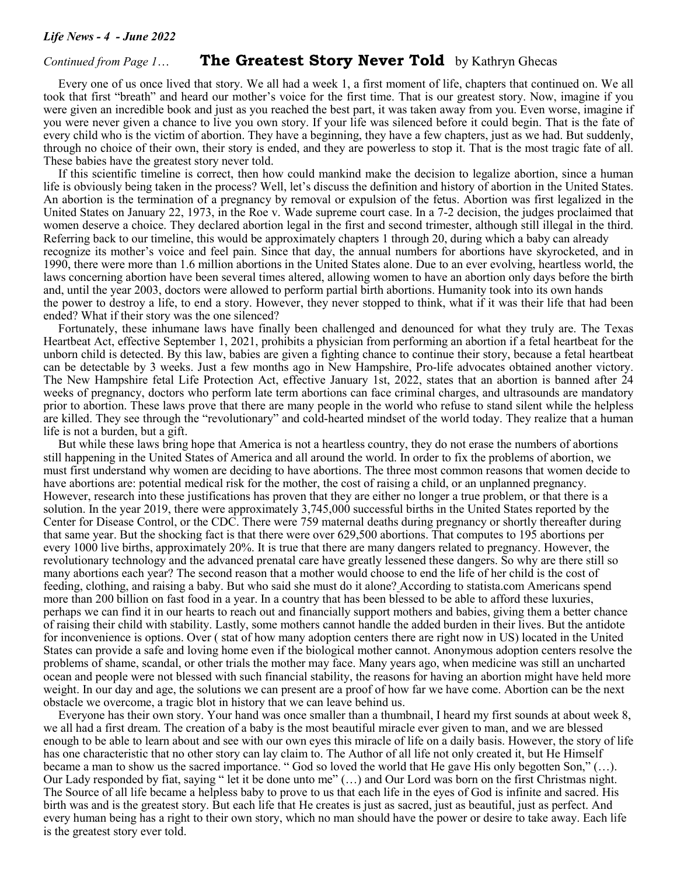#### *Continued from Page 1*… **The Greatest Story Never Told** by Kathryn Ghecas

Every one of us once lived that story. We all had a week 1, a first moment of life, chapters that continued on. We all took that first "breath" and heard our mother's voice for the first time. That is our greatest story. Now, imagine if you were given an incredible book and just as you reached the best part, it was taken away from you. Even worse, imagine if you were never given a chance to live you own story. If your life was silenced before it could begin. That is the fate of every child who is the victim of abortion. They have a beginning, they have a few chapters, just as we had. But suddenly, through no choice of their own, their story is ended, and they are powerless to stop it. That is the most tragic fate of all. These babies have the greatest story never told.

If this scientific timeline is correct, then how could mankind make the decision to legalize abortion, since a human life is obviously being taken in the process? Well, let's discuss the definition and history of abortion in the United States. An abortion is the termination of a pregnancy by removal or expulsion of the fetus. Abortion was first legalized in the United States on January 22, 1973, in the Roe v. Wade supreme court case. In a 7-2 decision, the judges proclaimed that women deserve a choice. They declared abortion legal in the first and second trimester, although still illegal in the third. Referring back to our timeline, this would be approximately chapters 1 through 20, during which a baby can already recognize its mother's voice and feel pain. Since that day, the annual numbers for abortions have skyrocketed, and in 1990, there were more than 1.6 million abortions in the United States alone. Due to an ever evolving, heartless world, the laws concerning abortion have been several times altered, allowing women to have an abortion only days before the birth and, until the year 2003, doctors were allowed to perform partial birth abortions. Humanity took into its own hands the power to destroy a life, to end a story. However, they never stopped to think, what if it was their life that had been ended? What if their story was the one silenced?

Fortunately, these inhumane laws have finally been challenged and denounced for what they truly are. The Texas Heartbeat Act, effective September 1, 2021, prohibits a physician from performing an abortion if a fetal heartbeat for the unborn child is detected. By this law, babies are given a fighting chance to continue their story, because a fetal heartbeat can be detectable by 3 weeks. Just a few months ago in New Hampshire, Pro-life advocates obtained another victory. The New Hampshire fetal Life Protection Act, effective January 1st, 2022, states that an abortion is banned after 24 weeks of pregnancy, doctors who perform late term abortions can face criminal charges, and ultrasounds are mandatory prior to abortion. These laws prove that there are many people in the world who refuse to stand silent while the helpless are killed. They see through the "revolutionary" and cold-hearted mindset of the world today. They realize that a human life is not a burden, but a gift.

 But while these laws bring hope that America is not a heartless country, they do not erase the numbers of abortions still happening in the United States of America and all around the world. In order to fix the problems of abortion, we must first understand why women are deciding to have abortions. The three most common reasons that women decide to have abortions are: potential medical risk for the mother, the cost of raising a child, or an unplanned pregnancy. However, research into these justifications has proven that they are either no longer a true problem, or that there is a solution. In the year 2019, there were approximately 3,745,000 successful births in the United States reported by the Center for Disease Control, or the CDC. There were 759 maternal deaths during pregnancy or shortly thereafter during that same year. But the shocking fact is that there were over 629,500 abortions. That computes to 195 abortions per every 1000 live births, approximately 20%. It is true that there are many dangers related to pregnancy. However, the revolutionary technology and the advanced prenatal care have greatly lessened these dangers. So why are there still so many abortions each year? The second reason that a mother would choose to end the life of her child is the cost of feeding, clothing, and raising a baby. But who said she must do it alone? According to statista.com Americans spend more than 200 billion on fast food in a year. In a country that has been blessed to be able to afford these luxuries, perhaps we can find it in our hearts to reach out and financially support mothers and babies, giving them a better chance of raising their child with stability. Lastly, some mothers cannot handle the added burden in their lives. But the antidote for inconvenience is options. Over ( stat of how many adoption centers there are right now in US) located in the United States can provide a safe and loving home even if the biological mother cannot. Anonymous adoption centers resolve the problems of shame, scandal, or other trials the mother may face. Many years ago, when medicine was still an uncharted ocean and people were not blessed with such financial stability, the reasons for having an abortion might have held more weight. In our day and age, the solutions we can present are a proof of how far we have come. Abortion can be the next obstacle we overcome, a tragic blot in history that we can leave behind us.

 Everyone has their own story. Your hand was once smaller than a thumbnail, I heard my first sounds at about week 8, we all had a first dream. The creation of a baby is the most beautiful miracle ever given to man, and we are blessed enough to be able to learn about and see with our own eyes this miracle of life on a daily basis. However, the story of life has one characteristic that no other story can lay claim to. The Author of all life not only created it, but He Himself became a man to show us the sacred importance. " God so loved the world that He gave His only begotten Son," (…). Our Lady responded by fiat, saying " let it be done unto me" (…) and Our Lord was born on the first Christmas night. The Source of all life became a helpless baby to prove to us that each life in the eyes of God is infinite and sacred. His birth was and is the greatest story. But each life that He creates is just as sacred, just as beautiful, just as perfect. And every human being has a right to their own story, which no man should have the power or desire to take away. Each life is the greatest story ever told.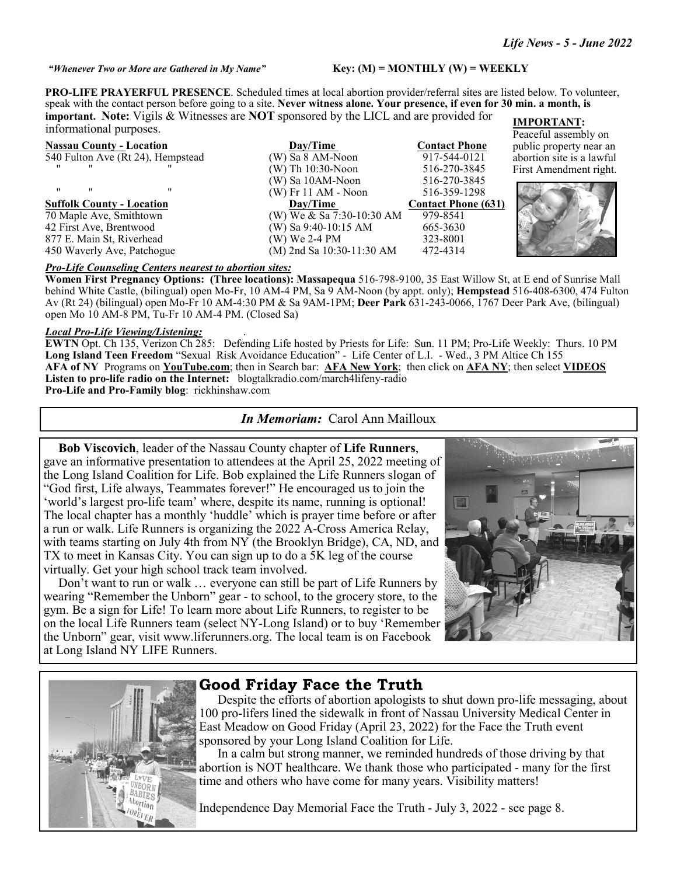*"Whenever Two or More are Gathered in My Name"* **Key: (M) = MONTHLY (W) = WEEKLY** 

**PRO-LIFE PRAYERFUL PRESENCE**. Scheduled times at local abortion provider/referral sites are listed below. To volunteer, speak with the contact person before going to a site. **Never witness alone. Your presence, if even for 30 min. a month, is important. Note:** Vigils & Witnesses are **NOT** sponsored by the LICL and are provided for informational purposes. **IMPORTANT:** 

| <b>Nassau County - Location</b>   | Day/Time                  | <b>Contact Phone</b>       |
|-----------------------------------|---------------------------|----------------------------|
| 540 Fulton Ave (Rt 24), Hempstead | (W) Sa 8 AM-Noon          | 917-544-0121               |
| $^{\bullet}$<br>                  | $(W)$ Th 10:30-Noon       | 516-270-3845               |
|                                   | (W) Sa 10AM-Noon          | 516-270-3845               |
| "<br>"<br>$^{\prime\prime}$       | $(W)$ Fr 11 AM - Noon     | 516-359-1298               |
| Suffolk County - Location         | Day/Time                  | <b>Contact Phone (631)</b> |
| 70 Maple Ave, Smithtown           | (W) We & Sa 7:30-10:30 AM | 979-8541                   |
| 42 First Ave, Brentwood           | (W) Sa 9:40-10:15 AM      | 665-3630                   |
|                                   |                           |                            |
| 877 E. Main St, Riverhead         | (W) We 2-4 PM             | 323-8001                   |
| 450 Waverly Ave, Patchogue        | (M) 2nd Sa 10:30-11:30 AM | 472-4314                   |

Peaceful assembly on public property near an abortion site is a lawful First Amendment right.



#### *Pro-Life Counseling Centers nearest to abortion sites:*

**Women First Pregnancy Options: (Three locations): Massapequa** 516-798-9100, 35 East Willow St, at E end of Sunrise Mall behind White Castle, (bilingual) open Mo-Fr, 10 AM-4 PM, Sa 9 AM-Noon (by appt. only); **Hempstead** 516-408-6300, 474 Fulton Av (Rt 24) (bilingual) open Mo-Fr 10 AM-4:30 PM & Sa 9AM-1PM; **Deer Park** 631-243-0066, 1767 Deer Park Ave, (bilingual) open Mo 10 AM-8 PM, Tu-Fr 10 AM-4 PM. (Closed Sa)

#### *Local Pro-Life Viewing/Listening:* .

**EWTN** Opt. Ch 135, Verizon Ch 285: Defending Life hosted by Priests for Life: Sun. 11 PM; Pro-Life Weekly: Thurs. 10 PM **Long Island Teen Freedom** "Sexual Risk Avoidance Education" - Life Center of L.I. - Wed., 3 PM Altice Ch 155 **AFA of NY** Programs on **YouTube.com**; then in Search bar: **AFA New York**; then click on **AFA NY**; then select **VIDEOS Listen to pro-life radio on the Internet:** blogtalkradio.com/march4lifeny-radio **Pro-Life and Pro-Family blog**: rickhinshaw.com

#### *In Memoriam:* Carol Ann Mailloux

 **Bob Viscovich**, leader of the Nassau County chapter of **Life Runners**, gave an informative presentation to attendees at the April 25, 2022 meeting of the Long Island Coalition for Life. Bob explained the Life Runners slogan of "God first, Life always, Teammates forever!" He encouraged us to join the 'world's largest pro-life team' where, despite its name, running is optional! The local chapter has a monthly 'huddle' which is prayer time before or after a run or walk. Life Runners is organizing the 2022 A-Cross America Relay, with teams starting on July 4th from NY (the Brooklyn Bridge), CA, ND, and TX to meet in Kansas City. You can sign up to do a 5K leg of the course virtually. Get your high school track team involved.

Don't want to run or walk … everyone can still be part of Life Runners by wearing "Remember the Unborn" gear - to school, to the grocery store, to the gym. Be a sign for Life! To learn more about Life Runners, to register to be on the local Life Runners team (select NY-Long Island) or to buy 'Remember the Unborn" gear, visit www.liferunners.org. The local team is on Facebook at Long Island NY LIFE Runners.





#### **Good Friday Face the Truth**

 Despite the efforts of abortion apologists to shut down pro-life messaging, about 100 pro-lifers lined the sidewalk in front of Nassau University Medical Center in East Meadow on Good Friday (April 23, 2022) for the Face the Truth event sponsored by your Long Island Coalition for Life.

 In a calm but strong manner, we reminded hundreds of those driving by that abortion is NOT healthcare. We thank those who participated - many for the first time and others who have come for many years. Visibility matters!

Independence Day Memorial Face the Truth - July 3, 2022 - see page 8.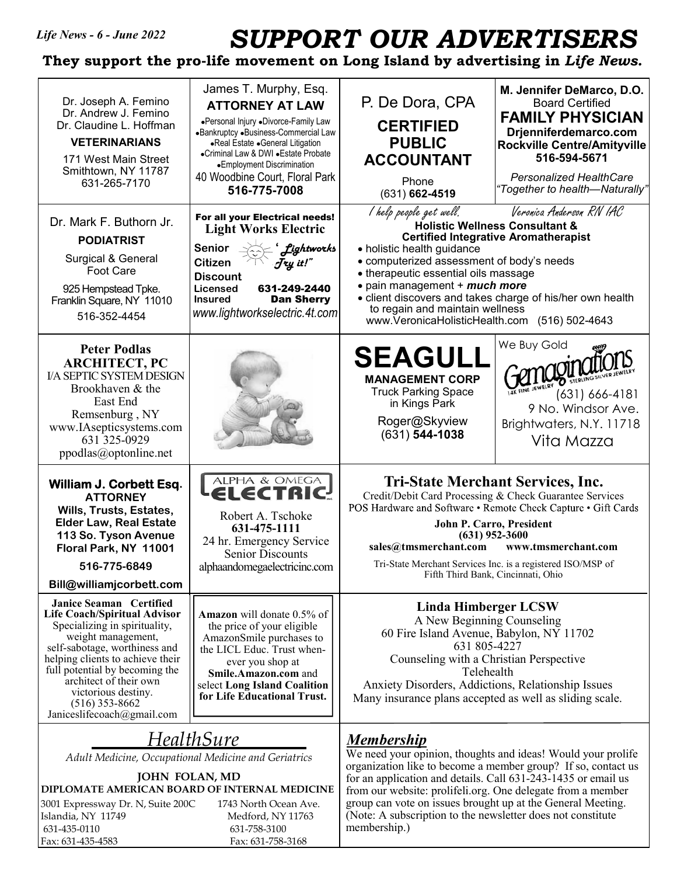*Life News - 6 - June 2022* 

## *SUPPORT OUR ADVERTISERS*

**They support the pro-life movement on Long Island by advertising in** *Life News.* 

| Dr. Joseph A. Femino<br>Dr. Andrew J. Femino<br>Dr. Claudine L. Hoffman<br><b>VETERINARIANS</b><br>171 West Main Street<br>Smithtown, NY 11787<br>631-265-7170<br>Dr. Mark F. Buthorn Jr.<br><b>PODIATRIST</b><br>Surgical & General<br>Foot Care                                                                                                                                                                                                                                                                                                                       | James T. Murphy, Esq.<br><b>ATTORNEY AT LAW</b><br>•Personal Injury •Divorce-Family Law<br>«Bankruptcy «Business-Commercial Law<br>•Real Estate •General Litigation<br>•Criminal Law & DWI • Estate Probate<br>•Employment Discrimination<br>40 Woodbine Court, Floral Park<br>516-775-7008<br>For all your Electrical needs!<br><b>Light Works Electric</b><br>Senior<br><b>fightworks</b><br><b>Citizen</b><br>Jry it!" | M. Jennifer DeMarco, D.O.<br>P. De Dora, CPA<br><b>Board Certified</b><br><b>FAMILY PHYSICIAN</b><br><b>CERTIFIED</b><br>Drjenniferdemarco.com<br><b>PUBLIC</b><br><b>Rockville Centre/Amityville</b><br>516-594-5671<br><b>ACCOUNTANT</b><br><b>Personalized HealthCare</b><br>Phone<br>"Together to health—Naturally"<br>$(631)$ 662-4519<br>Veronica Anderson RN IAC<br>l help people get well.<br><b>Holistic Wellness Consultant &amp;</b><br><b>Certified Integrative Aromatherapist</b><br>• holistic health guidance<br>· computerized assessment of body's needs |                                                                                                                                                                                                                                                                                                                              |  |  |  |
|-------------------------------------------------------------------------------------------------------------------------------------------------------------------------------------------------------------------------------------------------------------------------------------------------------------------------------------------------------------------------------------------------------------------------------------------------------------------------------------------------------------------------------------------------------------------------|---------------------------------------------------------------------------------------------------------------------------------------------------------------------------------------------------------------------------------------------------------------------------------------------------------------------------------------------------------------------------------------------------------------------------|---------------------------------------------------------------------------------------------------------------------------------------------------------------------------------------------------------------------------------------------------------------------------------------------------------------------------------------------------------------------------------------------------------------------------------------------------------------------------------------------------------------------------------------------------------------------------|------------------------------------------------------------------------------------------------------------------------------------------------------------------------------------------------------------------------------------------------------------------------------------------------------------------------------|--|--|--|
| 925 Hempstead Tpke.<br>Franklin Square, NY 11010<br>516-352-4454                                                                                                                                                                                                                                                                                                                                                                                                                                                                                                        | <b>Discount</b><br>631-249-2440<br>Licensed<br><b>Dan Sherry</b><br><b>Insured</b><br>www.lightworkselectric.4t.com                                                                                                                                                                                                                                                                                                       | • therapeutic essential oils massage<br>• pain management + much more<br>• client discovers and takes charge of his/her own health<br>to regain and maintain wellness<br>www.VeronicaHolisticHealth.com (516) 502-4643                                                                                                                                                                                                                                                                                                                                                    |                                                                                                                                                                                                                                                                                                                              |  |  |  |
| <b>Peter Podlas</b><br><b>ARCHITECT, PC</b><br><b>I/A SEPTIC SYSTEM DESIGN</b><br>Brookhaven & the<br>East End<br>Remsenburg, NY<br>www.IAsepticsystems.com<br>631 325-0929<br>ppodlas@optonline.net                                                                                                                                                                                                                                                                                                                                                                    |                                                                                                                                                                                                                                                                                                                                                                                                                           | <b>SEAGULL</b><br><b>MANAGEMENT CORP</b><br><b>Truck Parking Space</b><br>in Kings Park<br>Roger@Skyview<br>$(631)$ 544-1038                                                                                                                                                                                                                                                                                                                                                                                                                                              | We Buy Gold<br>$(631) 666 - 4181$<br>9 No. Windsor Ave.<br>Brightwaters, N.Y. 11718<br>Vita Mazza                                                                                                                                                                                                                            |  |  |  |
| William J. Corbett Esq.<br><b>ATTORNEY</b><br>Wills, Trusts, Estates,<br><b>Elder Law, Real Estate</b><br>113 So. Tyson Avenue<br>Floral Park, NY 11001<br>516-775-6849<br>Bill@williamjcorbett.com                                                                                                                                                                                                                                                                                                                                                                     | <b>ALPHA &amp; OMEGA</b><br>ELECTRI<br>Robert A. Tschoke<br>631-475-1111<br>24 hr. Emergency Service<br><b>Senior Discounts</b><br>alphaandomegaelectricinc.com                                                                                                                                                                                                                                                           | $(631)$ 952-3600<br>sales@tmsmerchant.com                                                                                                                                                                                                                                                                                                                                                                                                                                                                                                                                 | <b>Tri-State Merchant Services, Inc.</b><br>Credit/Debit Card Processing & Check Guarantee Services<br>POS Hardware and Software • Remote Check Capture • Gift Cards<br>John P. Carro, President<br>www.tmsmerchant.com<br>Tri-State Merchant Services Inc. is a registered ISO/MSP of<br>Fifth Third Bank, Cincinnati, Ohio |  |  |  |
| Janice Seaman Certified<br><b>Life Coach/Spiritual Advisor</b><br><b>Amazon</b> will donate 0.5% of<br>Specializing in spirituality,<br>the price of your eligible<br>weight management,<br>AmazonSmile purchases to<br>self-sabotage, worthiness and<br>the LICL Educ. Trust when-<br>helping clients to achieve their<br>ever you shop at<br>full potential by becoming the<br>Smile.Amazon.com and<br>architect of their own<br>select Long Island Coalition<br>victorious destiny.<br>for Life Educational Trust.<br>$(516)$ 353-8662<br>Janiceslifecoach@gmail.com |                                                                                                                                                                                                                                                                                                                                                                                                                           | Linda Himberger LCSW<br>A New Beginning Counseling<br>60 Fire Island Avenue, Babylon, NY 11702<br>631 805-4227<br>Counseling with a Christian Perspective<br>Telehealth<br>Anxiety Disorders, Addictions, Relationship Issues<br>Many insurance plans accepted as well as sliding scale.                                                                                                                                                                                                                                                                                  |                                                                                                                                                                                                                                                                                                                              |  |  |  |
| HealthSure<br>Adult Medicine, Occupational Medicine and Geriatrics<br>JOHN FOLAN, MD<br>DIPLOMATE AMERICAN BOARD OF INTERNAL MEDICINE<br>3001 Expressway Dr. N, Suite 200C<br>1743 North Ocean Ave.<br>Islandia, NY 11749<br>Medford, NY 11763<br>631-435-0110<br>631-758-3100<br>Fax: 631-435-4583<br>Fax: 631-758-3168                                                                                                                                                                                                                                                |                                                                                                                                                                                                                                                                                                                                                                                                                           | <u>Membership</u><br>We need your opinion, thoughts and ideas! Would your prolife<br>organization like to become a member group? If so, contact us<br>for an application and details. Call 631-243-1435 or email us<br>from our website: prolifeli.org. One delegate from a member<br>group can vote on issues brought up at the General Meeting.<br>(Note: A subscription to the newsletter does not constitute<br>membership.)                                                                                                                                          |                                                                                                                                                                                                                                                                                                                              |  |  |  |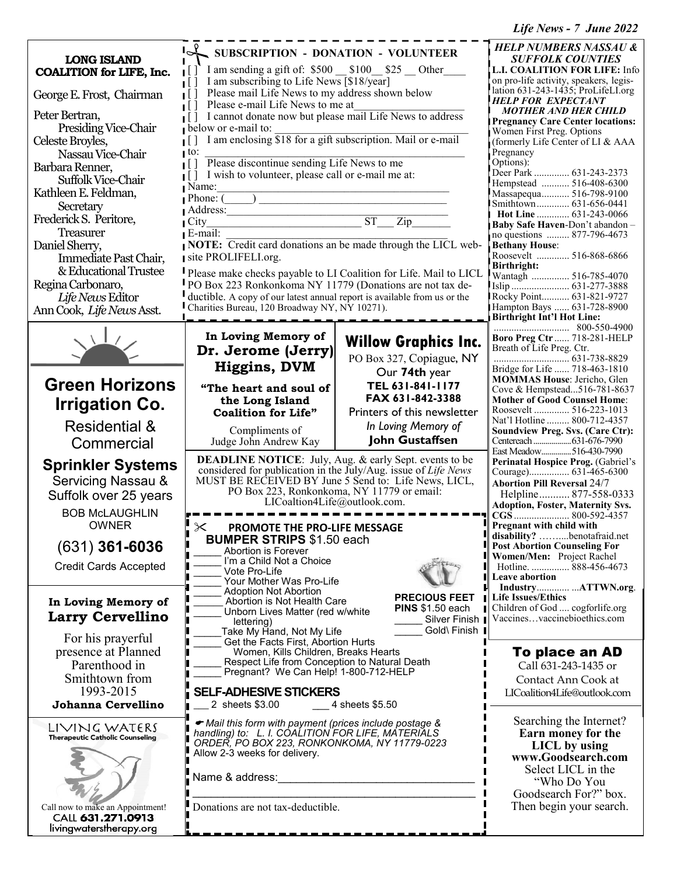*Life News - 7 June 2022*